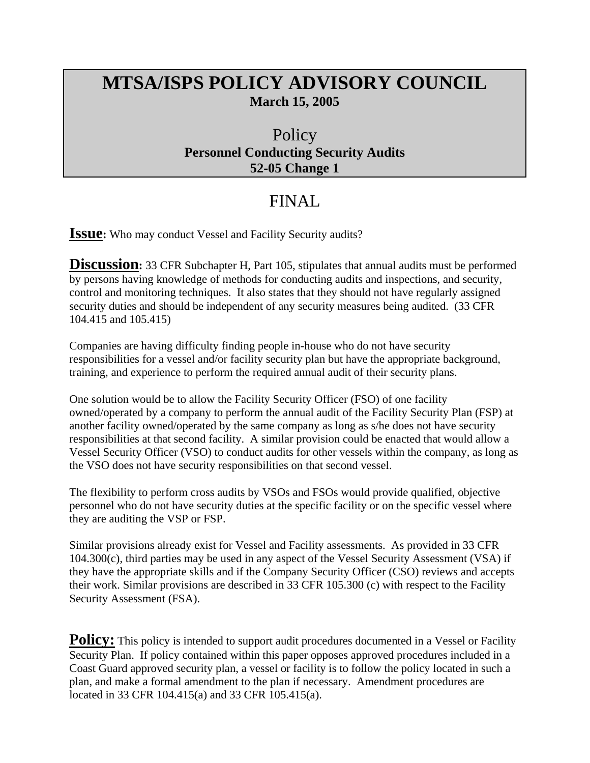## **MTSA/ISPS POLICY ADVISORY COUNCIL March 15, 2005**

## **Policy Personnel Conducting Security Audits 52-05 Change 1**

## FINAL

**ISSUE:** Who may conduct Vessel and Facility Security audits?

**Discussion:** 33 CFR Subchapter H, Part 105, stipulates that annual audits must be performed by persons having knowledge of methods for conducting audits and inspections, and security, control and monitoring techniques. It also states that they should not have regularly assigned security duties and should be independent of any security measures being audited. (33 CFR 104.415 and 105.415)

Companies are having difficulty finding people in-house who do not have security responsibilities for a vessel and/or facility security plan but have the appropriate background, training, and experience to perform the required annual audit of their security plans.

One solution would be to allow the Facility Security Officer (FSO) of one facility owned/operated by a company to perform the annual audit of the Facility Security Plan (FSP) at another facility owned/operated by the same company as long as s/he does not have security responsibilities at that second facility. A similar provision could be enacted that would allow a Vessel Security Officer (VSO) to conduct audits for other vessels within the company, as long as the VSO does not have security responsibilities on that second vessel.

The flexibility to perform cross audits by VSOs and FSOs would provide qualified, objective personnel who do not have security duties at the specific facility or on the specific vessel where they are auditing the VSP or FSP.

Similar provisions already exist for Vessel and Facility assessments. As provided in 33 CFR 104.300(c), third parties may be used in any aspect of the Vessel Security Assessment (VSA) if they have the appropriate skills and if the Company Security Officer (CSO) reviews and accepts their work. Similar provisions are described in 33 CFR 105.300 (c) with respect to the Facility Security Assessment (FSA).

**Policy:** This policy is intended to support audit procedures documented in a Vessel or Facility Security Plan. If policy contained within this paper opposes approved procedures included in a Coast Guard approved security plan, a vessel or facility is to follow the policy located in such a plan, and make a formal amendment to the plan if necessary. Amendment procedures are located in 33 CFR 104.415(a) and 33 CFR 105.415(a).